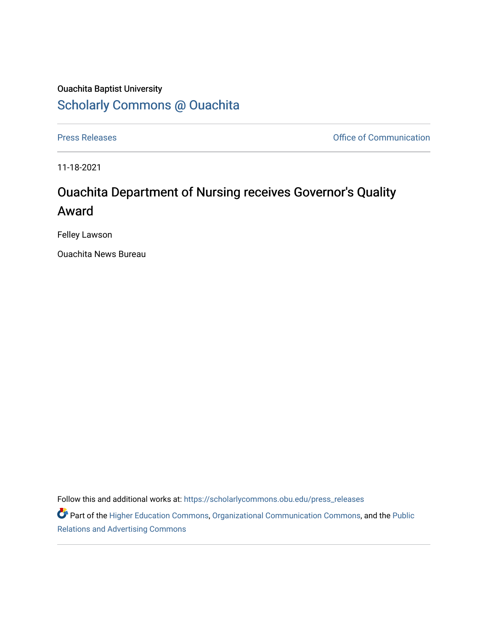## Ouachita Baptist University [Scholarly Commons @ Ouachita](https://scholarlycommons.obu.edu/)

[Press Releases](https://scholarlycommons.obu.edu/press_releases) **Press Releases Communication** 

11-18-2021

## Ouachita Department of Nursing receives Governor's Quality Award

Felley Lawson

Ouachita News Bureau

Follow this and additional works at: [https://scholarlycommons.obu.edu/press\\_releases](https://scholarlycommons.obu.edu/press_releases?utm_source=scholarlycommons.obu.edu%2Fpress_releases%2F900&utm_medium=PDF&utm_campaign=PDFCoverPages)

Part of the [Higher Education Commons,](http://network.bepress.com/hgg/discipline/1245?utm_source=scholarlycommons.obu.edu%2Fpress_releases%2F900&utm_medium=PDF&utm_campaign=PDFCoverPages) [Organizational Communication Commons,](http://network.bepress.com/hgg/discipline/335?utm_source=scholarlycommons.obu.edu%2Fpress_releases%2F900&utm_medium=PDF&utm_campaign=PDFCoverPages) and the [Public](http://network.bepress.com/hgg/discipline/336?utm_source=scholarlycommons.obu.edu%2Fpress_releases%2F900&utm_medium=PDF&utm_campaign=PDFCoverPages) [Relations and Advertising Commons](http://network.bepress.com/hgg/discipline/336?utm_source=scholarlycommons.obu.edu%2Fpress_releases%2F900&utm_medium=PDF&utm_campaign=PDFCoverPages)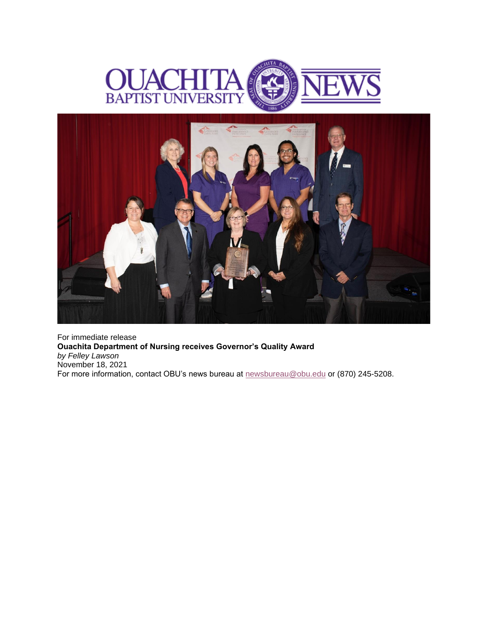



For immediate release **Ouachita Department of Nursing receives Governor's Quality Award** *by Felley Lawson* November 18, 2021 For more information, contact OBU's news bureau at **[newsbureau@obu.edu](mailto:newsbureau@obu.edu)** or (870) 245-5208.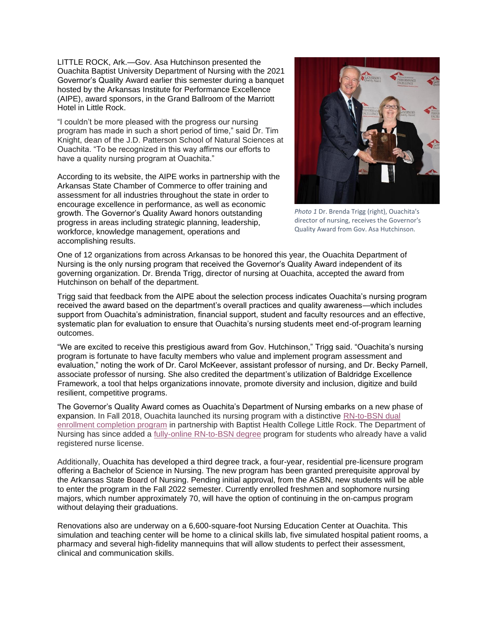LITTLE ROCK, Ark.—Gov. Asa Hutchinson presented the Ouachita Baptist University Department of Nursing with the 2021 Governor's Quality Award earlier this semester during a banquet hosted by the Arkansas Institute for Performance Excellence (AIPE), award sponsors, in the Grand Ballroom of the Marriott Hotel in Little Rock.

"I couldn't be more pleased with the progress our nursing program has made in such a short period of time," said Dr. Tim Knight, dean of the J.D. Patterson School of Natural Sciences at Ouachita. "To be recognized in this way affirms our efforts to have a quality nursing program at Ouachita."

According to its website, the AIPE works in partnership with the Arkansas State Chamber of Commerce to offer training and assessment for all industries throughout the state in order to encourage excellence in performance, as well as economic growth. The Governor's Quality Award honors outstanding progress in areas including strategic planning, leadership, workforce, knowledge management, operations and accomplishing results.



*Photo 1* Dr. Brenda Trigg (right), Ouachita's director of nursing, receives the Governor's Quality Award from Gov. Asa Hutchinson.

One of 12 organizations from across Arkansas to be honored this year, the Ouachita Department of Nursing is the only nursing program that received the Governor's Quality Award independent of its governing organization. Dr. Brenda Trigg, director of nursing at Ouachita, accepted the award from Hutchinson on behalf of the department.

Trigg said that feedback from the AIPE about the selection process indicates Ouachita's nursing program received the award based on the department's overall practices and quality awareness—which includes support from Ouachita's administration, financial support, student and faculty resources and an effective, systematic plan for evaluation to ensure that Ouachita's nursing students meet end-of-program learning outcomes.

"We are excited to receive this prestigious award from Gov. Hutchinson," Trigg said. "Ouachita's nursing program is fortunate to have faculty members who value and implement program assessment and evaluation," noting the work of Dr. Carol McKeever, assistant professor of nursing, and Dr. Becky Parnell, associate professor of nursing. She also credited the department's utilization of Baldridge Excellence Framework, a tool that helps organizations innovate, promote diversity and inclusion, digitize and build resilient, competitive programs.

The Governor's Quality Award comes as Ouachita's Department of Nursing embarks on a new phase of expansion. In Fall 2018, Ouachita launched its nursing program with a distinctive [RN-to-BSN dual](https://nam12.safelinks.protection.outlook.com/?url=https%3A%2F%2Fobu.edu%2Fbsn.php&data=04%7C01%7Cmortensona%40OBU.EDU%7C382dc3b80c6b4ea7abe008d9aab47c4d%7C59a7df8e1953458ba12bb585f94a11d9%7C1%7C0%7C637728514414535436%7CUnknown%7CTWFpbGZsb3d8eyJWIjoiMC4wLjAwMDAiLCJQIjoiV2luMzIiLCJBTiI6Ik1haWwiLCJXVCI6Mn0%3D%7C3000&sdata=9iaNUiQ%2F3UB3Ye5JPeWn8ZTtvyrm%2Fpf8aEee57v3B%2BQ%3D&reserved=0)  [enrollment completion program](https://nam12.safelinks.protection.outlook.com/?url=https%3A%2F%2Fobu.edu%2Fbsn.php&data=04%7C01%7Cmortensona%40OBU.EDU%7C382dc3b80c6b4ea7abe008d9aab47c4d%7C59a7df8e1953458ba12bb585f94a11d9%7C1%7C0%7C637728514414535436%7CUnknown%7CTWFpbGZsb3d8eyJWIjoiMC4wLjAwMDAiLCJQIjoiV2luMzIiLCJBTiI6Ik1haWwiLCJXVCI6Mn0%3D%7C3000&sdata=9iaNUiQ%2F3UB3Ye5JPeWn8ZTtvyrm%2Fpf8aEee57v3B%2BQ%3D&reserved=0) in partnership with Baptist Health College Little Rock. The Department of Nursing has since added a [fully-online RN-to-BSN degree](https://nam12.safelinks.protection.outlook.com/?url=https%3A%2F%2Fobu.edu%2Frn-to-bsn.php&data=04%7C01%7Cmortensona%40OBU.EDU%7C382dc3b80c6b4ea7abe008d9aab47c4d%7C59a7df8e1953458ba12bb585f94a11d9%7C1%7C0%7C637728514414545432%7CUnknown%7CTWFpbGZsb3d8eyJWIjoiMC4wLjAwMDAiLCJQIjoiV2luMzIiLCJBTiI6Ik1haWwiLCJXVCI6Mn0%3D%7C3000&sdata=OKZ9YBcyEUMovPoYhk3Tfxqk5CvkcPpGCeS1g2ZkQww%3D&reserved=0) program for students who already have a valid registered nurse license.

Additionally, Ouachita has developed a third degree track, a four-year, residential pre-licensure program offering a Bachelor of Science in Nursing. The new program has been granted prerequisite approval by the Arkansas State Board of Nursing. Pending initial approval, from the ASBN, new students will be able to enter the program in the Fall 2022 semester. Currently enrolled freshmen and sophomore nursing majors, which number approximately 70, will have the option of continuing in the on-campus program without delaying their graduations.

Renovations also are underway on a 6,600-square-foot Nursing Education Center at Ouachita. This simulation and teaching center will be home to a clinical skills lab, five simulated hospital patient rooms, a pharmacy and several high-fidelity mannequins that will allow students to perfect their assessment, clinical and communication skills.